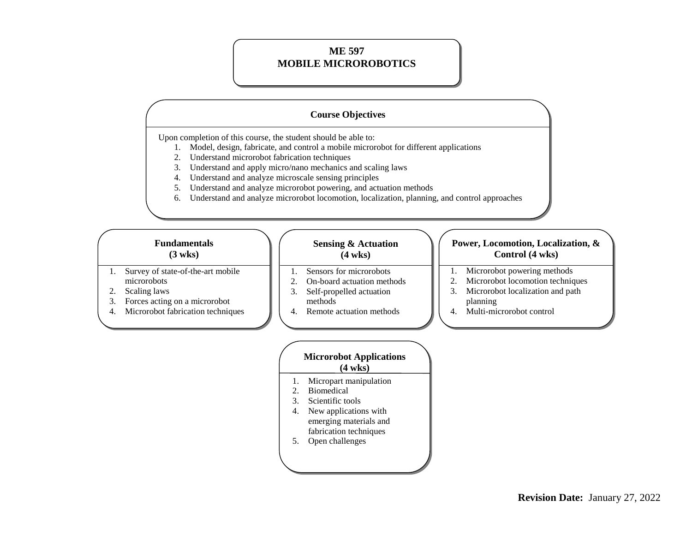### **ME 597 MOBILE MICROROBOTICS**

## **Course Objectives**

Upon completion of this course, the student should be able to:

- 1. Model, design, fabricate, and control a mobile microrobot for different applications
- 2. Understand microrobot fabrication techniques
- 3. Understand and apply micro/nano mechanics and scaling laws
- 4. Understand and analyze microscale sensing principles
- 5. Understand and analyze microrobot powering, and actuation methods
- 6. Understand and analyze microrobot locomotion, localization, planning, and control approaches

## **Fundamentals (3 wks)**

- 1. Survey of state-of-the-art mobile microrobots
- 2. Scaling laws
- 3. Forces acting on a microrobot
- 4. Microrobot fabrication techniques

#### **Sensing & Actuation (4 wks)**

- 1. Sensors for microrobots 2. On-board actuation methods
- 
- 3. Self-propelled actuation methods
- 4. Remote actuation methods

#### **Power, Locomotion, Localization, & Control (4 wks)**

- 1. Microrobot powering methods
- 2. Microrobot locomotion techniques
- 3. Microrobot localization and path planning
- 4. Multi-microrobot control

|             | <b>Microrobot Applications</b><br>$(4 \text{ wks})$ |
|-------------|-----------------------------------------------------|
| 1.          | Micropart manipulation                              |
| $2^{\circ}$ | <b>Biomedical</b>                                   |
| 3.          | Scientific tools                                    |
| 4.          | New applications with                               |
|             | emerging materials and                              |
|             | fabrication techniques                              |
|             | Open challenges                                     |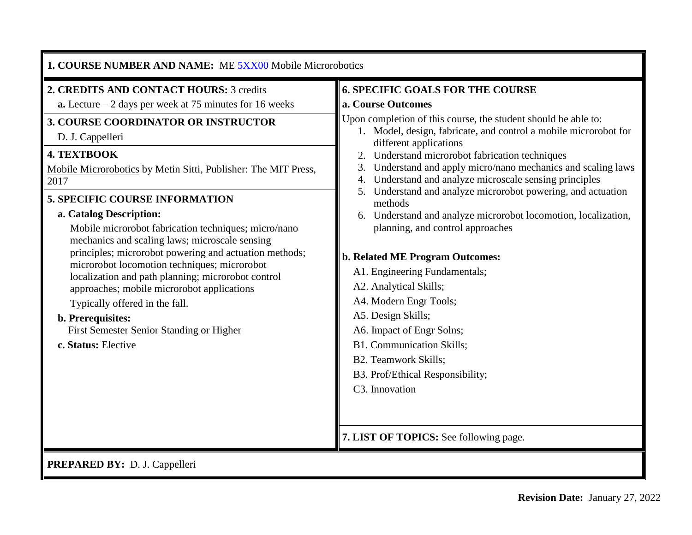| 1. COURSE NUMBER AND NAME: ME 5XX00 Mobile Microrobotics                                                                                                                                                                                                                                                                                                                                                                                                                                                                                                                                                                                                                                                                                                                                    |                                                                                                                                                                                                                                                                                                                                                                                                                                                                                                                                                                                                                                                                                                                                                                                                                                                                                                                                                                    |  |  |  |  |  |  |
|---------------------------------------------------------------------------------------------------------------------------------------------------------------------------------------------------------------------------------------------------------------------------------------------------------------------------------------------------------------------------------------------------------------------------------------------------------------------------------------------------------------------------------------------------------------------------------------------------------------------------------------------------------------------------------------------------------------------------------------------------------------------------------------------|--------------------------------------------------------------------------------------------------------------------------------------------------------------------------------------------------------------------------------------------------------------------------------------------------------------------------------------------------------------------------------------------------------------------------------------------------------------------------------------------------------------------------------------------------------------------------------------------------------------------------------------------------------------------------------------------------------------------------------------------------------------------------------------------------------------------------------------------------------------------------------------------------------------------------------------------------------------------|--|--|--|--|--|--|
| 2. CREDITS AND CONTACT HOURS: 3 credits<br><b>a.</b> Lecture $-2$ days per week at 75 minutes for 16 weeks<br>3. COURSE COORDINATOR OR INSTRUCTOR<br>D. J. Cappelleri<br><b>4. TEXTBOOK</b><br>Mobile Microrobotics by Metin Sitti, Publisher: The MIT Press,<br>2017<br><b>5. SPECIFIC COURSE INFORMATION</b><br>a. Catalog Description:<br>Mobile microrobot fabrication techniques; micro/nano<br>mechanics and scaling laws; microscale sensing<br>principles; microrobot powering and actuation methods;<br>microrobot locomotion techniques; microrobot<br>localization and path planning; microrobot control<br>approaches; mobile microrobot applications<br>Typically offered in the fall.<br>b. Prerequisites:<br>First Semester Senior Standing or Higher<br>c. Status: Elective | <b>6. SPECIFIC GOALS FOR THE COURSE</b><br>a. Course Outcomes<br>Upon completion of this course, the student should be able to:<br>1. Model, design, fabricate, and control a mobile microrobot for<br>different applications<br>2. Understand microrobot fabrication techniques<br>Understand and apply micro/nano mechanics and scaling laws<br>3.<br>4. Understand and analyze microscale sensing principles<br>5. Understand and analyze microrobot powering, and actuation<br>methods<br>6. Understand and analyze microrobot locomotion, localization,<br>planning, and control approaches<br><b>b. Related ME Program Outcomes:</b><br>A1. Engineering Fundamentals;<br>A2. Analytical Skills;<br>A4. Modern Engr Tools;<br>A5. Design Skills;<br>A6. Impact of Engr Solns;<br><b>B1. Communication Skills;</b><br><b>B2. Teamwork Skills;</b><br>B3. Prof/Ethical Responsibility;<br>C <sub>3</sub> . Innovation<br>7. LIST OF TOPICS: See following page. |  |  |  |  |  |  |
| PREPARED BY: D. J. Cappelleri                                                                                                                                                                                                                                                                                                                                                                                                                                                                                                                                                                                                                                                                                                                                                               |                                                                                                                                                                                                                                                                                                                                                                                                                                                                                                                                                                                                                                                                                                                                                                                                                                                                                                                                                                    |  |  |  |  |  |  |

**PREPARED BY:** D. J. Cappelleri